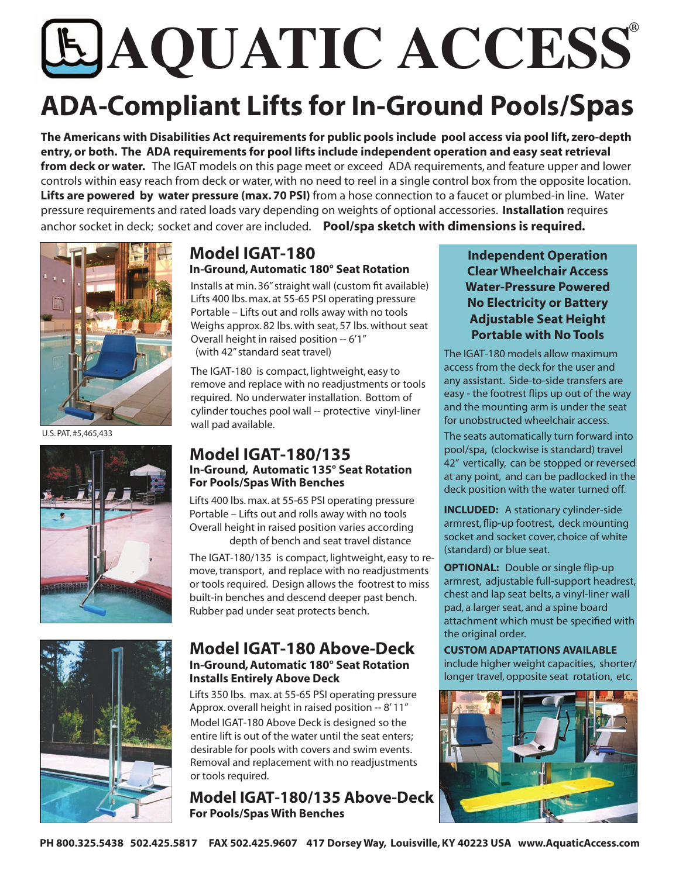# **® AQUATIC ACCESS**

# **ADA-Compliant Lifts for In-Ground Pools/Spas**

**The Americans with Disabilities Act requirements for public pools include pool access via pool lift, zero-depth entry, or both. The ADA requirements for pool lifts include independent operation and easy seat retrieval from deck or water.** The IGAT models on this page meet or exceed ADA requirements, and feature upper and lower controls within easy reach from deck or water, with no need to reel in a single control box from the opposite location. **Lifts are powered by water pressure (max. 70 PSI)** from a hose connection to a faucet or plumbed-in line. Water pressure requirements and rated loads vary depending on weights of optional accessories. **Installation** requires anchor socket in deck; socket and cover are included. **Pool/spa sketch with dimensions is required.** 



U.S. PAT. #5,465,433



#### **Model IGAT-180 In-Ground, Automatic 180° Seat Rotation**

Installs at min. 36" straight wall (custom fit available) Lifts 400 lbs. max. at 55-65 PSI operating pressure Portable – Lifts out and rolls away with no tools Weighs approx. 82 lbs. with seat, 57 lbs. without seat Overall height in raised position -- 6'1" (with 42" standard seat travel)

The IGAT-180 is compact, lightweight, easy to remove and replace with no readjustments or tools required. No underwater installation. Bottom of cylinder touches pool wall -- protective vinyl-liner wall pad available.

#### **Model IGAT-180/135 In-Ground, Automatic 135° Seat Rotation For Pools/Spas With Benches**

Lifts 400 lbs. max. at 55-65 PSI operating pressure Portable – Lifts out and rolls away with no tools Overall height in raised position varies according depth of bench and seat travel distance

The IGAT-180/135 is compact, lightweight, easy to remove, transport, and replace with no readjustments or tools required. Design allows the footrest to miss built-in benches and descend deeper past bench. Rubber pad under seat protects bench.

#### **Model IGAT-180 Above-Deck In-Ground, Automatic 180° Seat Rotation Installs Entirely Above Deck**

Model IGAT-180 Above Deck is designed so the entire lift is out of the water until the seat enters; desirable for pools with covers and swim events. Removal and replacement with no readjustments or tools required. Lifts 350 lbs. max. at 55-65 PSI operating pressure Approx. overall height in raised position -- 8' 11"

**Model IGAT-180/135 Above-Deck For Pools/Spas With Benches** 

#### **Independent Operation Clear Wheelchair Access Water-Pressure Powered No Electricity or Battery Adjustable Seat Height Portable with No Tools**

The IGAT-180 models allow maximum access from the deck for the user and any assistant. Side-to-side transfers are easy - the footrest flips up out of the way and the mounting arm is under the seat for unobstructed wheelchair access.

The seats automatically turn forward into pool/spa, (clockwise is standard) travel 42" vertically, can be stopped or reversed at any point, and can be padlocked in the deck position with the water turned off.

**INCLUDED:** A stationary cylinder-side armrest, flip-up footrest, deck mounting socket and socket cover, choice of white (standard) or blue seat.

**OPTIONAL:** Double or single flip-up armrest, adjustable full-support headrest, chest and lap seat belts, a vinyl-liner wall pad, a larger seat, and a spine board attachment which must be specified with the original order.

**CUSTOM ADAPTATIONS AVAILABLE**  include higher weight capacities, shorter/ longer travel, opposite seat rotation, etc.

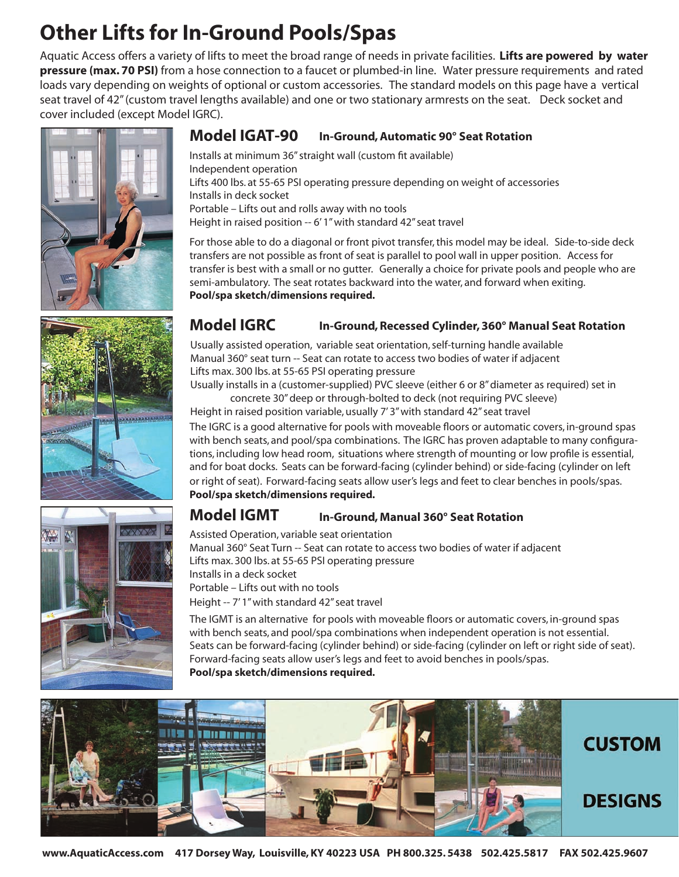## **Other Lifts for In-Ground Pools/Spas**

Aquatic Access offers a variety of lifts to meet the broad range of needs in private facilities. **Lifts are powered by water pressure (max. 70 PSI)** from a hose connection to a faucet or plumbed-in line. Water pressure requirements and rated loads vary depending on weights of optional or custom accessories. The standard models on this page have a vertical seat travel of 42" (custom travel lengths available) and one or two stationary armrests on the seat. Deck socket and cover included (except Model IGRC).







#### **Model IGAT-90 In-Ground, Automatic 90° Seat Rotation**

Installs at minimum 36" straight wall (custom fit available) Independent operation Lifts 400 lbs. at 55-65 PSI operating pressure depending on weight of accessories Installs in deck socket Portable – Lifts out and rolls away with no tools Height in raised position -- 6' 1" with standard 42" seat travel

For those able to do a diagonal or front pivot transfer, this model may be ideal. Side-to-side deck transfers are not possible as front of seat is parallel to pool wall in upper position. Access for transfer is best with a small or no gutter. Generally a choice for private pools and people who are semi-ambulatory. The seat rotates backward into the water, and forward when exiting. **Pool/spa sketch/dimensions required.** 

#### **Model IGRC In-Ground, Recessed Cylinder, 360° Manual Seat Rotation**

Usually assisted operation, variable seat orientation, self-turning handle available Manual 360° seat turn -- Seat can rotate to access two bodies of water if adjacent Lifts max. 300 lbs. at 55-65 PSI operating pressure

Usually installs in a (customer-supplied) PVC sleeve (either 6 or 8" diameter as required) set in concrete 30" deep or through-bolted to deck (not requiring PVC sleeve)

Height in raised position variable, usually 7' 3" with standard 42" seat travel

The IGRC is a good alternative for pools with moveable floors or automatic covers, in-ground spas with bench seats, and pool/spa combinations. The IGRC has proven adaptable to many configurations, including low head room, situations where strength of mounting or low profile is essential, and for boat docks. Seats can be forward-facing (cylinder behind) or side-facing (cylinder on left or right of seat). Forward-facing seats allow user's legs and feet to clear benches in pools/spas. **Pool/spa sketch/dimensions required.** 

#### **Model IGMT In-Ground, Manual 360° Seat Rotation**

Assisted Operation, variable seat orientation Manual 360° Seat Turn -- Seat can rotate to access two bodies of water if adjacent Lifts max. 300 lbs. at 55-65 PSI operating pressure Installs in a deck socket Portable – Lifts out with no tools Height -- 7' 1" with standard 42" seat travel

The IGMT is an alternative for pools with moveable floors or automatic covers, in-ground spas with bench seats, and pool/spa combinations when independent operation is not essential. Seats can be forward-facing (cylinder behind) or side-facing (cylinder on left or right side of seat). Forward-facing seats allow user's legs and feet to avoid benches in pools/spas. **Pool/spa sketch/dimensions required.** 

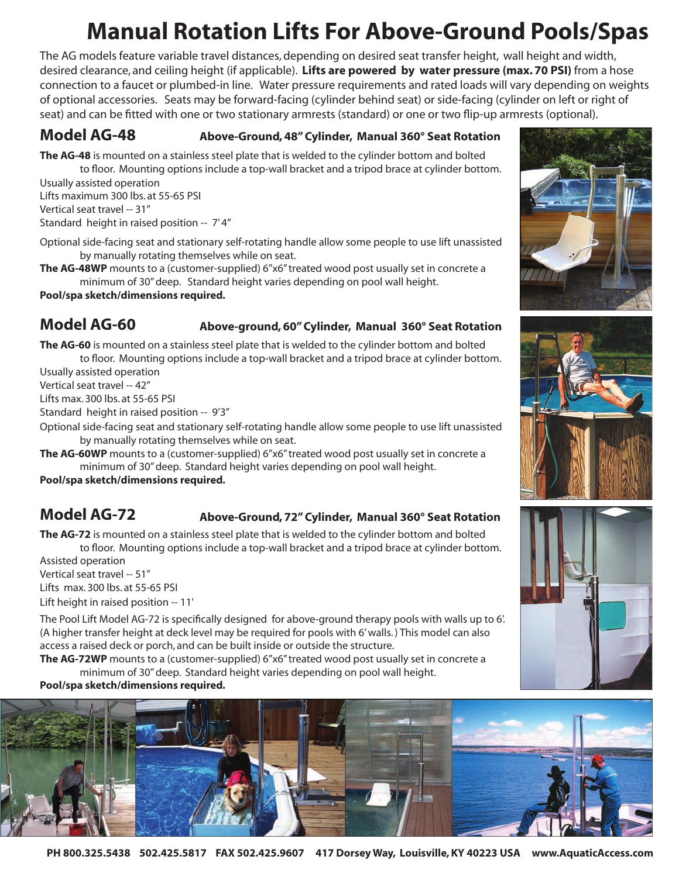## **Manual Rotation Lifts For Above-Ground Pools/Spas**

The AG models feature variable travel distances, depending on desired seat transfer height, wall height and width, desired clearance, and ceiling height (if applicable). **Lifts are powered by water pressure (max. 70 PSI)** from a hose connection to a faucet or plumbed-in line. Water pressure requirements and rated loads will vary depending on weights of optional accessories. Seats may be forward-facing (cylinder behind seat) or side-facing (cylinder on left or right of seat) and can be fitted with one or two stationary armrests (standard) or one or two flip-up armrests (optional).

#### **Model AG-48 Above-Ground, 48" Cylinder, Manual 360° Seat Rotation**

**The AG-48** is mounted on a stainless steel plate that is welded to the cylinder bottom and bolted to floor. Mounting options include a top-wall bracket and a tripod brace at cylinder bottom.

Usually assisted operation Lifts maximum 300 lbs. at 55-65 PSI Vertical seat travel -- 31" Standard height in raised position -- 7' 4"

Optional side-facing seat and stationary self-rotating handle allow some people to use lift unassisted by manually rotating themselves while on seat.

**The AG-48WP** mounts to a (customer-supplied) 6"x6" treated wood post usually set in concrete a minimum of 30" deep. Standard height varies depending on pool wall height.

**Pool/spa sketch/dimensions required.**

#### **Model AG-60 Above-ground, 60" Cylinder, Manual 360° Seat Rotation**

**The AG-60** is mounted on a stainless steel plate that is welded to the cylinder bottom and bolted to floor. Mounting options include a top-wall bracket and a tripod brace at cylinder bottom.

Usually assisted operation

Vertical seat travel -- 42"

Lifts max. 300 lbs. at 55-65 PSI

Standard height in raised position -- 9'3"

Optional side-facing seat and stationary self-rotating handle allow some people to use lift unassisted by manually rotating themselves while on seat.

**The AG-60WP** mounts to a (customer-supplied) 6"x6" treated wood post usually set in concrete a minimum of 30" deep. Standard height varies depending on pool wall height.

**Pool/spa sketch/dimensions required.**

#### **Model AG-72 Above-Ground, 72" Cylinder, Manual 360° Seat Rotation**

**The AG-72** is mounted on a stainless steel plate that is welded to the cylinder bottom and bolted to floor. Mounting options include a top-wall bracket and a tripod brace at cylinder bottom.

Assisted operation

Vertical seat travel -- 51"

Lifts max. 300 lbs. at 55-65 PSI

Lift height in raised position -- 11'

The Pool Lift Model AG-72 is specifically designed for above-ground therapy pools with walls up to 6'. (A higher transfer height at deck level may be required for pools with 6' walls. ) This model can also access a raised deck or porch, and can be built inside or outside the structure.

**The AG-72WP** mounts to a (customer-supplied) 6"x6" treated wood post usually set in concrete a minimum of 30" deep. Standard height varies depending on pool wall height.

**Pool/spa sketch/dimensions required.**